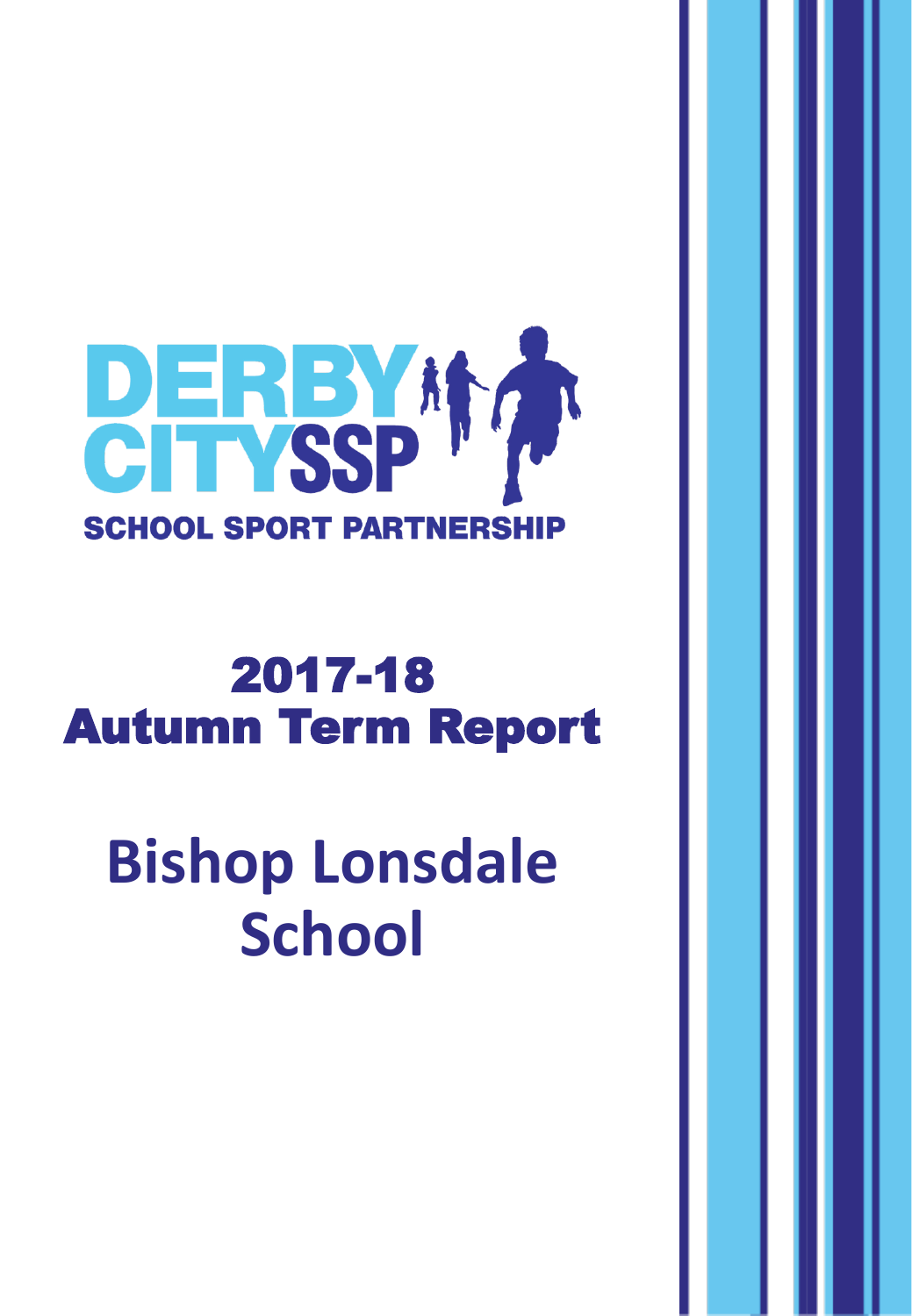

## 2017-18 Autumn Term Report

**Bishop Lonsdale School**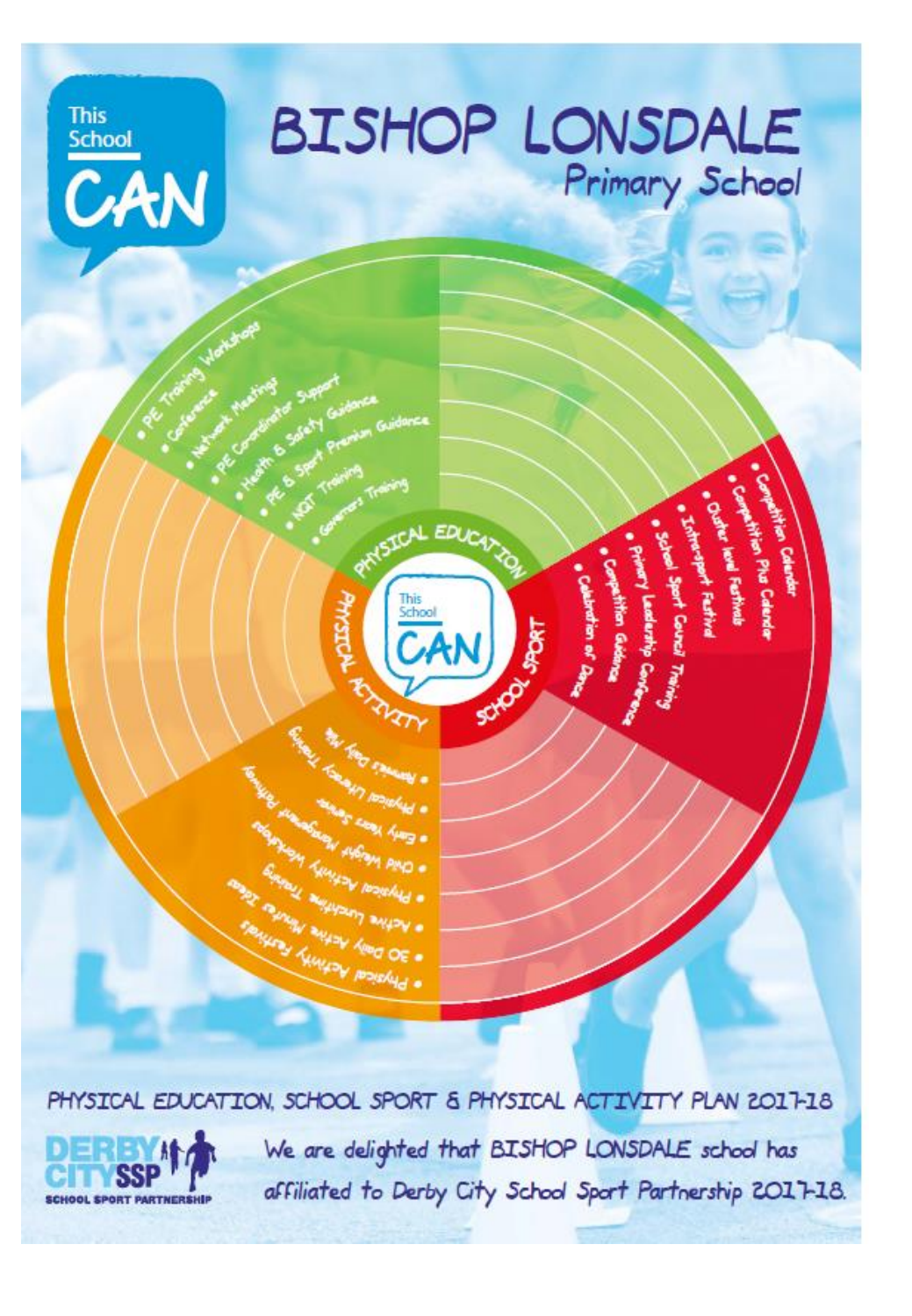

PHYSICAL EDUCATION, SCHOOL SPORT & PHYSICAL ACTIVITY PLAN 2017-18



We are delighted that BISHOP LONSDALE school has affiliated to Derby City School Sport Partnership 2017-18.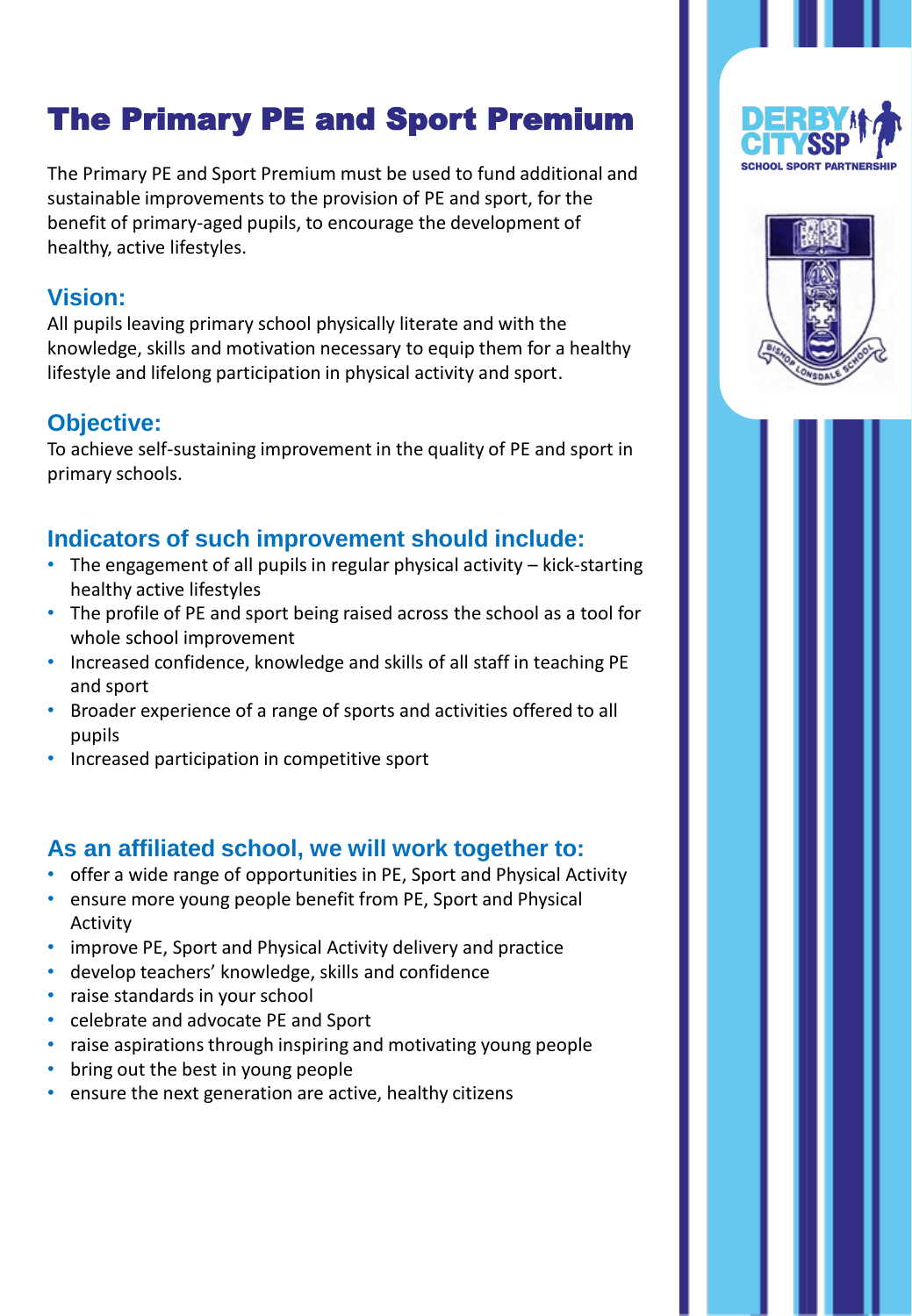### The Primary PE and Sport Premium

The Primary PE and Sport Premium must be used to fund additional and sustainable improvements to the provision of PE and sport, for the benefit of primary-aged pupils, to encourage the development of healthy, active lifestyles.

#### **Vision:**

All pupils leaving primary school physically literate and with the knowledge, skills and motivation necessary to equip them for a healthy lifestyle and lifelong participation in physical activity and sport.

#### **Objective:**

To achieve self-sustaining improvement in the quality of PE and sport in primary schools.

#### **Indicators of such improvement should include:**

- The engagement of all pupils in regular physical activity kick-starting healthy active lifestyles
- The profile of PE and sport being raised across the school as a tool for whole school improvement
- Increased confidence, knowledge and skills of all staff in teaching PE and sport
- Broader experience of a range of sports and activities offered to all pupils
- Increased participation in competitive sport

#### **As an affiliated school, we will work together to:**

- offer a wide range of opportunities in PE, Sport and Physical Activity
- ensure more young people benefit from PE, Sport and Physical Activity
- improve PE, Sport and Physical Activity delivery and practice
- develop teachers' knowledge, skills and confidence
- raise standards in your school
- celebrate and advocate PE and Sport
- raise aspirations through inspiring and motivating young people
- bring out the best in young people
- ensure the next generation are active, healthy citizens



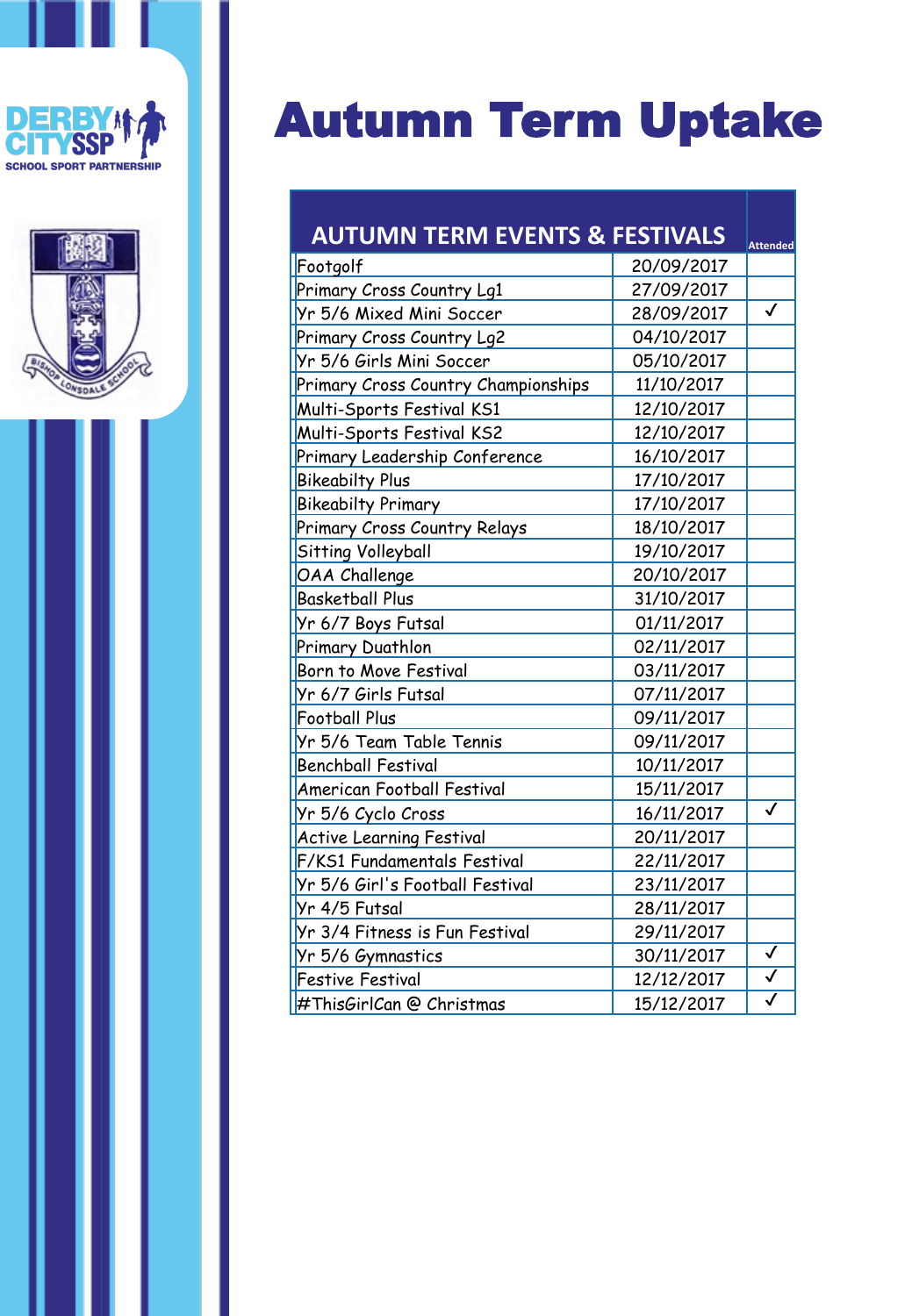



# Autumn Term Uptake

| <b>AUTUMN TERM EVENTS &amp; FESTIVALS</b> |            | <b>Attended</b>         |
|-------------------------------------------|------------|-------------------------|
| Footgolf                                  | 20/09/2017 |                         |
| Primary Cross Country Lg1                 | 27/09/2017 |                         |
| Yr 5/6 Mixed Mini Soccer                  | 28/09/2017 | $\checkmark$            |
| Primary Cross Country Lg2                 | 04/10/2017 |                         |
| Yr 5/6 Girls Mini Soccer                  | 05/10/2017 |                         |
| Primary Cross Country Championships       | 11/10/2017 |                         |
| Multi-Sports Festival KS1                 | 12/10/2017 |                         |
| Multi-Sports Festival KS2                 | 12/10/2017 |                         |
| Primary Leadership Conference             | 16/10/2017 |                         |
| <b>Bikeabilty Plus</b>                    | 17/10/2017 |                         |
| <b>Bikeabilty Primary</b>                 | 17/10/2017 |                         |
| Primary Cross Country Relays              | 18/10/2017 |                         |
| Sitting Volleyball                        | 19/10/2017 |                         |
| OAA Challenge                             | 20/10/2017 |                         |
| <b>Basketball Plus</b>                    | 31/10/2017 |                         |
| Yr 6/7 Boys Futsal                        | 01/11/2017 |                         |
| Primary Duathlon                          | 02/11/2017 |                         |
| Born to Move Festival                     | 03/11/2017 |                         |
| Yr 6/7 Girls Futsal                       | 07/11/2017 |                         |
| <b>Football Plus</b>                      | 09/11/2017 |                         |
| Yr 5/6 Team Table Tennis                  | 09/11/2017 |                         |
| <b>Benchball Festival</b>                 | 10/11/2017 |                         |
| <b>American Football Festival</b>         | 15/11/2017 |                         |
| Yr 5/6 Cyclo Cross                        | 16/11/2017 | $\checkmark$            |
| <b>Active Learning Festival</b>           | 20/11/2017 |                         |
| F/KS1 Fundamentals Festival               | 22/11/2017 |                         |
| Yr 5/6 Girl's Football Festival           | 23/11/2017 |                         |
| Yr 4/5 Futsal                             | 28/11/2017 |                         |
| Yr 3/4 Fitness is Fun Festival            | 29/11/2017 |                         |
| Yr 5/6 Gymnastics                         | 30/11/2017 | ✓                       |
| <b>Festive Festival</b>                   | 12/12/2017 | $\checkmark$            |
| #ThisGirlCan @ Christmas                  | 15/12/2017 | $\overline{\checkmark}$ |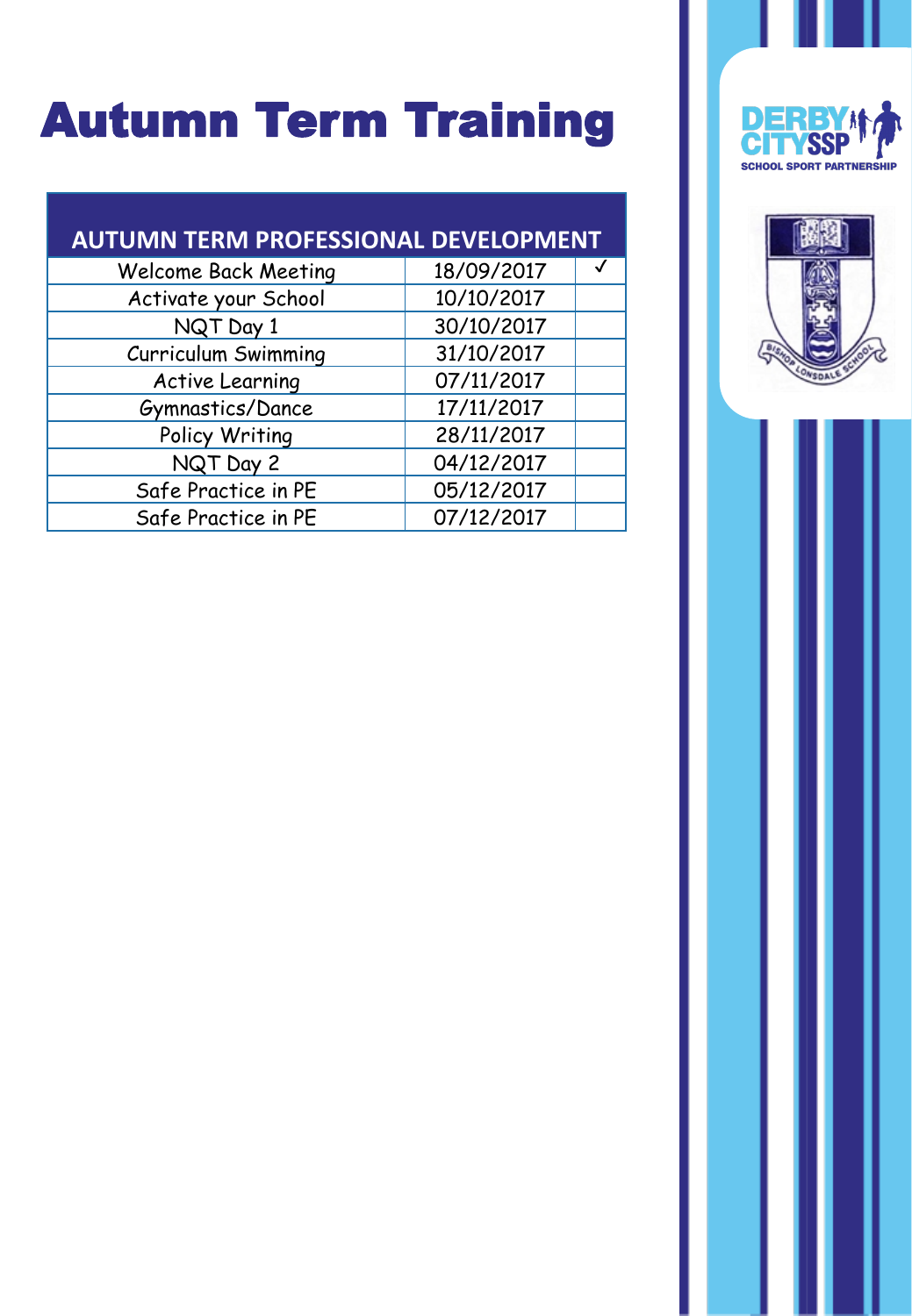## Autumn Term Training

#### **AUTUMN TERM PROFESSIONAL DEVELOPMENT**

| 10/10/2017<br>Activate your School<br>30/10/2017<br>NQT Day 1<br>31/10/2017<br>Curriculum Swimming<br>07/11/2017<br><b>Active Learning</b> |
|--------------------------------------------------------------------------------------------------------------------------------------------|
|                                                                                                                                            |
|                                                                                                                                            |
|                                                                                                                                            |
|                                                                                                                                            |
| 17/11/2017<br>Gymnastics/Dance                                                                                                             |
| 28/11/2017<br>Policy Writing                                                                                                               |
| 04/12/2017<br>NQT Day 2                                                                                                                    |
| Safe Practice in PE<br>05/12/2017                                                                                                          |
| 07/12/2017<br>Safe Practice in PE                                                                                                          |



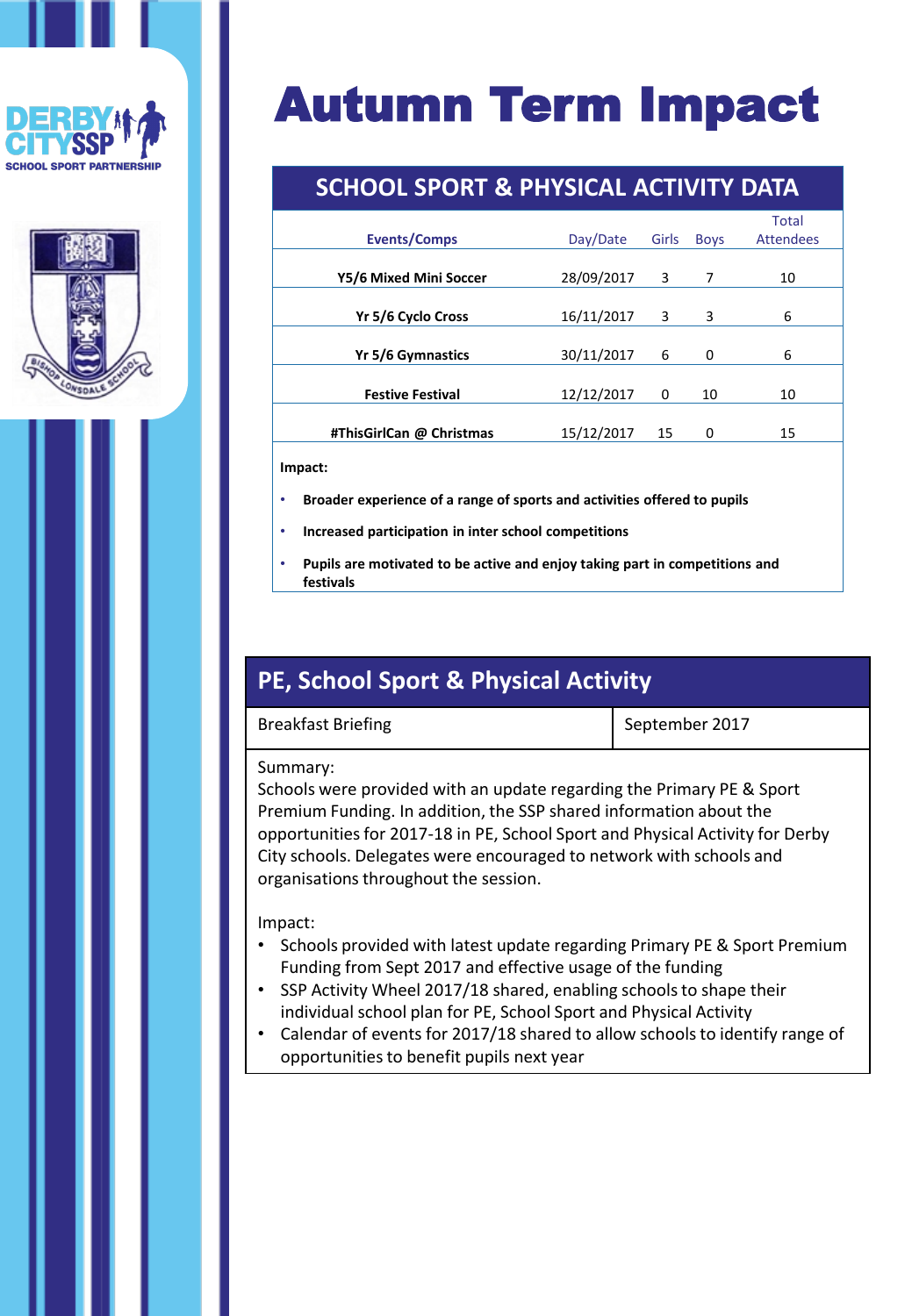





#### **SCHOOL SPORT & PHYSICAL ACTIVITY DATA**

|                          |            |       |             | <b>Total</b>     |  |
|--------------------------|------------|-------|-------------|------------------|--|
| <b>Events/Comps</b>      | Day/Date   | Girls | <b>Boys</b> | <b>Attendees</b> |  |
|                          |            |       |             |                  |  |
| Y5/6 Mixed Mini Soccer   | 28/09/2017 | 3     | 7           | 10               |  |
|                          |            |       |             |                  |  |
| Yr 5/6 Cyclo Cross       | 16/11/2017 | 3     | 3           | 6                |  |
|                          |            |       |             |                  |  |
| Yr 5/6 Gymnastics        | 30/11/2017 | 6     | 0           | 6                |  |
|                          |            |       |             |                  |  |
| <b>Festive Festival</b>  | 12/12/2017 | 0     | 10          | 10               |  |
|                          |            |       |             |                  |  |
| #ThisGirlCan @ Christmas | 15/12/2017 | 15    | 0           | 15               |  |
|                          |            |       |             |                  |  |

**Impact:**

- **Broader experience of a range of sports and activities offered to pupils**
- **Increased participation in inter school competitions**
- **Pupils are motivated to be active and enjoy taking part in competitions and festivals**

#### **PE, School Sport & Physical Activity**

Breakfast Briefing September 2017

#### Summary:

Schools were provided with an update regarding the Primary PE & Sport Premium Funding. In addition, the SSP shared information about the opportunities for 2017-18 in PE, School Sport and Physical Activity for Derby City schools. Delegates were encouraged to network with schools and organisations throughout the session.

#### Impact:

- Schools provided with latest update regarding Primary PE & Sport Premium Funding from Sept 2017 and effective usage of the funding
- SSP Activity Wheel 2017/18 shared, enabling schools to shape their individual school plan for PE, School Sport and Physical Activity
- Calendar of events for 2017/18 shared to allow schools to identify range of opportunities to benefit pupils next year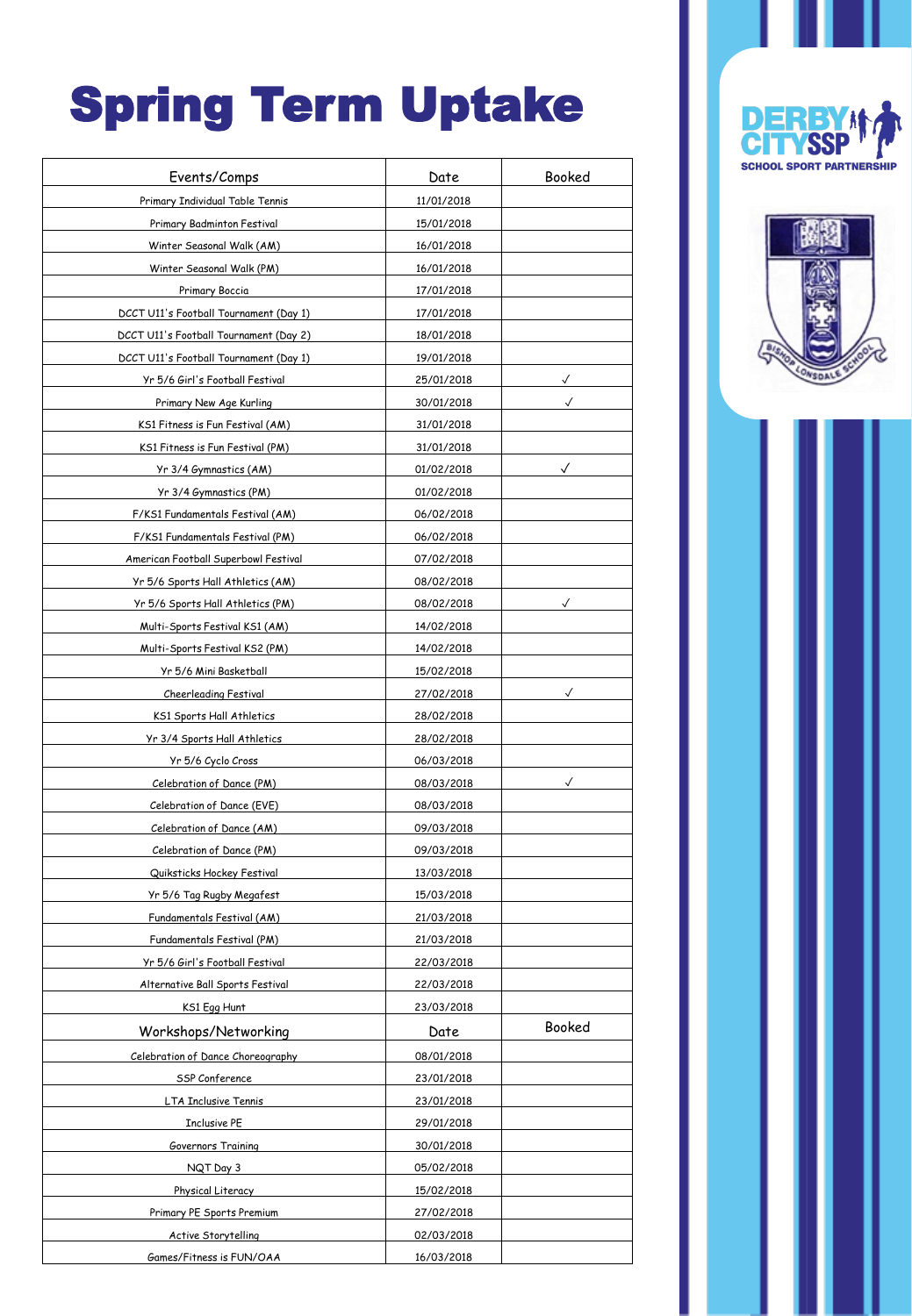# Spring Term Uptake

| Events/Comps                           | Date       | Booked       |
|----------------------------------------|------------|--------------|
| Primary Individual Table Tennis        | 11/01/2018 |              |
| Primary Badminton Festival             | 15/01/2018 |              |
| Winter Seasonal Walk (AM)              | 16/01/2018 |              |
| Winter Seasonal Walk (PM)              | 16/01/2018 |              |
| Primary Boccia                         | 17/01/2018 |              |
| DCCT U11's Football Tournament (Day 1) | 17/01/2018 |              |
| DCCT U11's Football Tournament (Day 2) | 18/01/2018 |              |
| DCCT U11's Football Tournament (Day 1) | 19/01/2018 |              |
| Yr 5/6 Girl's Football Festival        | 25/01/2018 | $\checkmark$ |
| Primary New Age Kurling                | 30/01/2018 | ✓            |
| KS1 Fitness is Fun Festival (AM)       | 31/01/2018 |              |
| KS1 Fitness is Fun Festival (PM)       | 31/01/2018 |              |
| Yr 3/4 Gymnastics (AM)                 | 01/02/2018 | $\checkmark$ |
| Yr 3/4 Gymnastics (PM)                 | 01/02/2018 |              |
| F/KS1 Fundamentals Festival (AM)       | 06/02/2018 |              |
| F/KS1 Fundamentals Festival (PM)       | 06/02/2018 |              |
| American Football Superbowl Festival   | 07/02/2018 |              |
| Yr 5/6 Sports Hall Athletics (AM)      | 08/02/2018 |              |
| Yr 5/6 Sports Hall Athletics (PM)      | 08/02/2018 | ✓            |
| Multi-Sports Festival KS1 (AM)         | 14/02/2018 |              |
| Multi-Sports Festival KS2 (PM)         | 14/02/2018 |              |
| Yr 5/6 Mini Basketball                 | 15/02/2018 |              |
| Cheerleading Festival                  | 27/02/2018 | ✓            |
| KS1 Sports Hall Athletics              | 28/02/2018 |              |
| Yr 3/4 Sports Hall Athletics           | 28/02/2018 |              |
| Yr 5/6 Cyclo Cross                     | 06/03/2018 |              |
| Celebration of Dance (PM)              | 08/03/2018 |              |
| Celebration of Dance (EVE)             | 08/03/2018 |              |
| Celebration of Dance (AM)              | 09/03/2018 |              |
| Celebration of Dance (PM)              | 09/03/2018 |              |
| Quiksticks Hockey Festival             | 13/03/2018 |              |
| Yr 5/6 Tag Rugby Megafest              | 15/03/2018 |              |
| Fundamentals Festival (AM)             | 21/03/2018 |              |
| Fundamentals Festival (PM)             | 21/03/2018 |              |
| Yr 5/6 Girl's Football Festival        | 22/03/2018 |              |
| Alternative Ball Sports Festival       | 22/03/2018 |              |
| KS1 Egg Hunt                           | 23/03/2018 |              |
| Workshops/Networking                   | Date       | Booked       |
| Celebration of Dance Choreography      | 08/01/2018 |              |
| SSP Conference                         | 23/01/2018 |              |
| LTA Inclusive Tennis                   | 23/01/2018 |              |
| <b>Inclusive PE</b>                    | 29/01/2018 |              |
| Governors Training                     | 30/01/2018 |              |
| NQT Day 3                              | 05/02/2018 |              |
| Physical Literacy                      | 15/02/2018 |              |
| Primary PE Sports Premium              | 27/02/2018 |              |
| <b>Active Storytelling</b>             | 02/03/2018 |              |
| Games/Fitness is FUN/OAA               | 16/03/2018 |              |
|                                        |            |              |